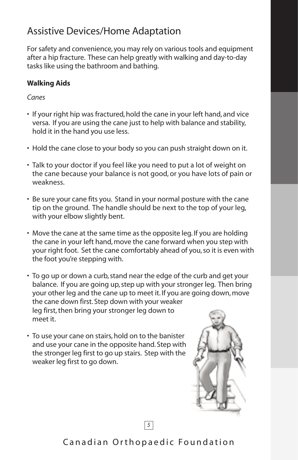# Assistive Devices/Home Adaptation

For safety and convenience, you may rely on various tools and equipment after a hip fracture. These can help greatly with walking and day-to-day tasks like using the bathroom and bathing.

### **Walking Aids**

### *Canes*

- If your right hip was fractured, hold the cane in your left hand, and vice versa. If you are using the cane just to help with balance and stability, hold it in the hand you use less.
- Hold the cane close to your body so you can push straight down on it.
- Talk to your doctor if you feel like you need to put a lot of weight on the cane because your balance is not good, or you have lots of pain or weakness.
- Be sure your cane fits you. Stand in your normal posture with the cane tip on the ground. The handle should be next to the top of your leg, with your elbow slightly bent.
- Move the cane at the same time as the opposite leg. If you are holding the cane in your left hand, move the cane forward when you step with your right foot. Set the cane comfortably ahead of you, so it is even with the foot you're stepping with.
- To go up or down a curb, stand near the edge of the curb and get your balance. If you are going up, step up with your stronger leg. Then bring your other leg and the cane up to meet it. If you are going down, move the cane down first. Step down with your weaker leg first, then bring your stronger leg down to meet it.
- To use your cane on stairs, hold on to the banister and use your cane in the opposite hand. Step with the stronger leg first to go up stairs. Step with the weaker leg first to go down.



Canadian Orthopaedic Foundation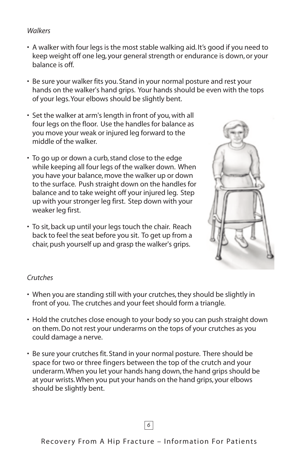### *Walkers*

- A walker with four legs is the most stable walking aid. It's good if you need to keep weight off one leg, your general strength or endurance is down, or your balance is off.
- Be sure your walker fits you. Stand in your normal posture and rest your hands on the walker's hand grips. Your hands should be even with the tops of your legs. Your elbows should be slightly bent.
- Set the walker at arm's length in front of you, with all four legs on the floor. Use the handles for balance as you move your weak or injured leg forward to the middle of the walker.
- To go up or down a curb, stand close to the edge while keeping all four legs of the walker down. When you have your balance, move the walker up or down to the surface. Push straight down on the handles for balance and to take weight off your injured leg. Step up with your stronger leg first. Step down with your weaker leg first.
- To sit, back up until your legs touch the chair. Reach back to feel the seat before you sit. To get up from a chair, push yourself up and grasp the walker's grips.



### *Crutches*

- When you are standing still with your crutches, they should be slightly in front of you. The crutches and your feet should form a triangle.
- Hold the crutches close enough to your body so you can push straight down on them. Do not rest your underarms on the tops of your crutches as you could damage a nerve.
- Be sure your crutches fit. Stand in your normal posture. There should be space for two or three fingers between the top of the crutch and your underarm. When you let your hands hang down, the hand grips should be at your wrists. When you put your hands on the hand grips, your elbows should be slightly bent.

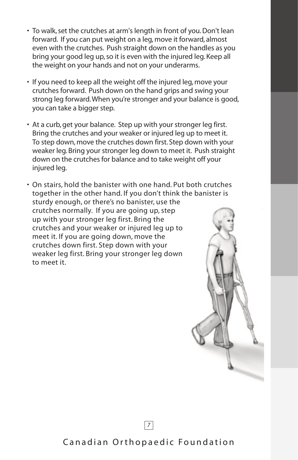- To walk, set the crutches at arm's length in front of you. Don't lean forward. If you can put weight on a leg, move it forward, almost even with the crutches. Push straight down on the handles as you bring your good leg up, so it is even with the injured leg. Keep all the weight on your hands and not on your underarms.
- If you need to keep all the weight off the injured leg, move your crutches forward. Push down on the hand grips and swing your strong leg forward. When you're stronger and your balance is good, you can take a bigger step.
- At a curb, get your balance. Step up with your stronger leg first. Bring the crutches and your weaker or injured leg up to meet it. To step down, move the crutches down first. Step down with your weaker leg. Bring your stronger leg down to meet it. Push straight down on the crutches for balance and to take weight off your injured leg.
- On stairs, hold the banister with one hand. Put both crutches together in the other hand. If you don't think the banister is sturdy enough, or there's no banister, use the crutches normally. If you are going up, step up with your stronger leg first. Bring the crutches and your weaker or injured leg up to meet it. If you are going down, move the crutches down first. Step down with your weaker leg first. Bring your stronger leg down to meet it.



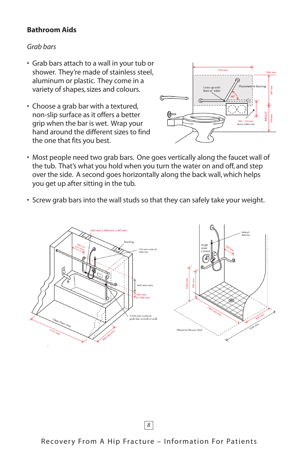### **Bathroom Aids**

### *Grab bars*

- Grab bars attach to a wall in your tub or shower. They're made of stainless steel, aluminum or plastic. They come in a variety of shapes, sizes and colours.
- Choose a grab bar with a textured, non-slip surface as it offers a better grip when the bar is wet. Wrap your hand around the different sizes to find the one that fits you best.



- Most people need two grab bars. One goes vertically along the faucet wall of the tub. That's what you hold when you turn the water on and off, and step over the side. A second goes horizontally along the back wall, which helps you get up after sitting in the tub.
- Screw grab bars into the wall studs so that they can safely take your weight.

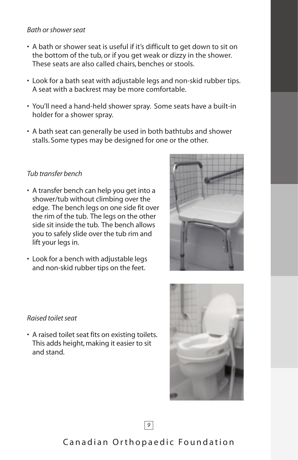### *Bath or shower seat*

- A bath or shower seat is useful if it's difficult to get down to sit on the bottom of the tub, or if you get weak or dizzy in the shower. These seats are also called chairs, benches or stools.
- Look for a bath seat with adjustable legs and non-skid rubber tips. A seat with a backrest may be more comfortable.
- You'll need a hand-held shower spray. Some seats have a built-in holder for a shower spray.
- A bath seat can generally be used in both bathtubs and shower stalls. Some types may be designed for one or the other.

### *Tub transfer bench*

- A transfer bench can help you get into a shower/tub without climbing over the edge. The bench legs on one side fit over the rim of the tub. The legs on the other side sit inside the tub. The bench allows you to safely slide over the tub rim and lift your legs in.
- Look for a bench with adjustable legs and non-skid rubber tips on the feet.





• A raised toilet seat fits on existing toilets. This adds height, making it easier to sit and stand.





## Canadian Orthopaedic Foundation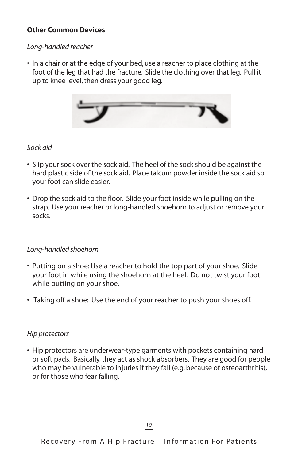### **Other Common Devices**

### *Long-handled reacher*

• In a chair or at the edge of your bed, use a reacher to place clothing at the foot of the leg that had the fracture. Slide the clothing over that leg. Pull it up to knee level, then dress your good leg.



### *Sock aid*

- Slip your sock over the sock aid. The heel of the sock should be against the hard plastic side of the sock aid. Place talcum powder inside the sock aid so your foot can slide easier.
- Drop the sock aid to the floor. Slide your foot inside while pulling on the strap. Use your reacher or long-handled shoehorn to adjust or remove your socks.

### *Long-handled shoehorn*

- Putting on a shoe: Use a reacher to hold the top part of your shoe. Slide your foot in while using the shoehorn at the heel. Do not twist your foot while putting on your shoe.
- Taking off a shoe: Use the end of your reacher to push your shoes off.

### *Hip protectors*

• Hip protectors are underwear-type garments with pockets containing hard or soft pads. Basically, they act as shock absorbers. They are good for people who may be vulnerable to injuries if they fall (e.g. because of osteoarthritis), or for those who fear falling.